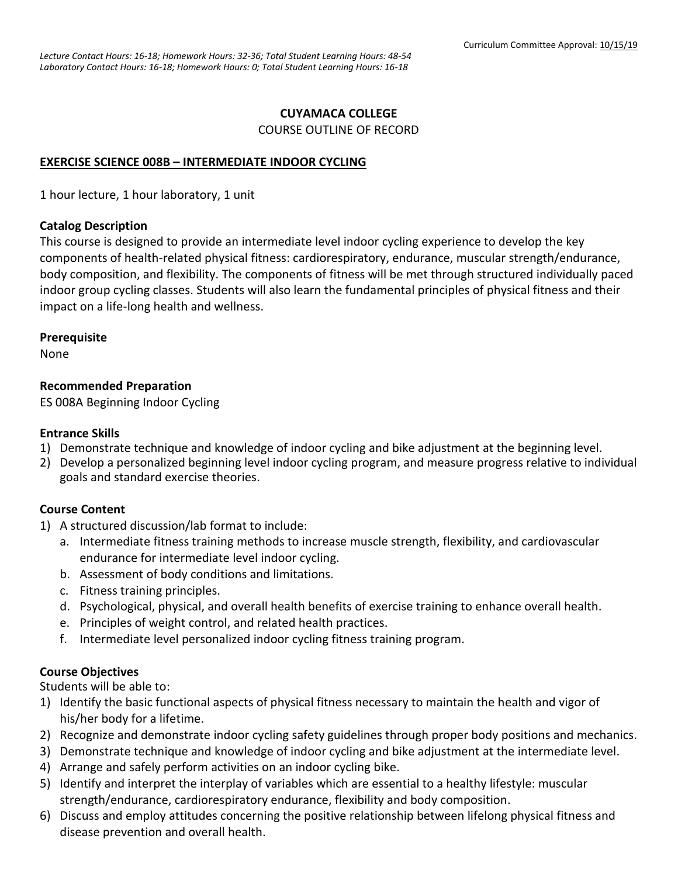# **CUYAMACA COLLEGE**

COURSE OUTLINE OF RECORD

#### **EXERCISE SCIENCE 008B – INTERMEDIATE INDOOR CYCLING**

1 hour lecture, 1 hour laboratory, 1 unit

#### **Catalog Description**

This course is designed to provide an intermediate level indoor cycling experience to develop the key components of health-related physical fitness: cardiorespiratory, endurance, muscular strength/endurance, body composition, and flexibility. The components of fitness will be met through structured individually paced indoor group cycling classes. Students will also learn the fundamental principles of physical fitness and their impact on a life-long health and wellness.

#### **Prerequisite**

None

## **Recommended Preparation**

ES 008A Beginning Indoor Cycling

## **Entrance Skills**

- 1) Demonstrate technique and knowledge of indoor cycling and bike adjustment at the beginning level.
- 2) Develop a personalized beginning level indoor cycling program, and measure progress relative to individual goals and standard exercise theories.

## **Course Content**

- 1) A structured discussion/lab format to include:
	- a. Intermediate fitness training methods to increase muscle strength, flexibility, and cardiovascular endurance for intermediate level indoor cycling.
	- b. Assessment of body conditions and limitations.
	- c. Fitness training principles.
	- d. Psychological, physical, and overall health benefits of exercise training to enhance overall health.
	- e. Principles of weight control, and related health practices.
	- f. Intermediate level personalized indoor cycling fitness training program.

## **Course Objectives**

Students will be able to:

- 1) Identify the basic functional aspects of physical fitness necessary to maintain the health and vigor of his/her body for a lifetime.
- 2) Recognize and demonstrate indoor cycling safety guidelines through proper body positions and mechanics.
- 3) Demonstrate technique and knowledge of indoor cycling and bike adjustment at the intermediate level.
- 4) Arrange and safely perform activities on an indoor cycling bike.
- 5) Identify and interpret the interplay of variables which are essential to a healthy lifestyle: muscular strength/endurance, cardiorespiratory endurance, flexibility and body composition.
- 6) Discuss and employ attitudes concerning the positive relationship between lifelong physical fitness and disease prevention and overall health.